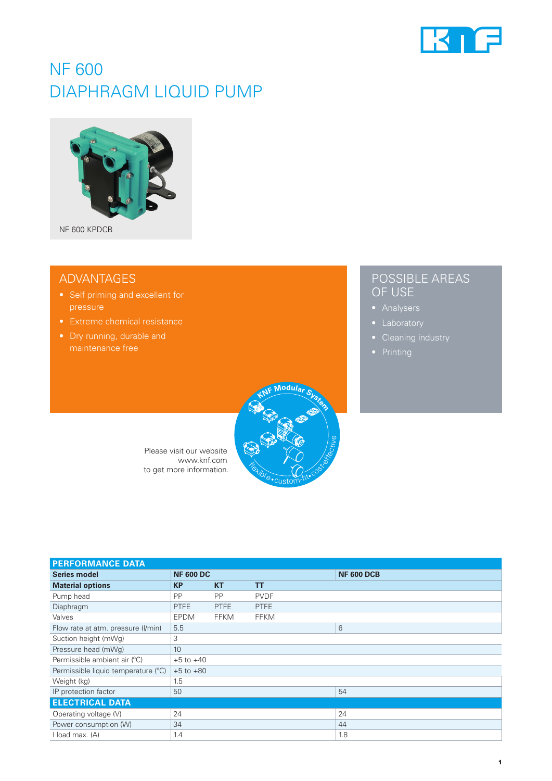

# NF 600 DIAPHRAGM LIQUID PUMP



## ADVANTAGES

- 
- 
- 

## POSSIBLE AREAS OF USE

- 
- 
- 
- 



Please visit our website www.knf.com to get more information.

| <b>PERFORMANCE DATA</b>             |                  |             |             |                   |
|-------------------------------------|------------------|-------------|-------------|-------------------|
| <b>Series model</b>                 | <b>NF 600 DC</b> |             |             | <b>NF 600 DCB</b> |
| <b>Material options</b>             | <b>KP</b>        | <b>KT</b>   | T           |                   |
| Pump head                           | PP               | <b>PP</b>   | <b>PVDF</b> |                   |
| Diaphragm                           | <b>PTFE</b>      | <b>PTFE</b> | <b>PTFE</b> |                   |
| Valves                              | <b>EPDM</b>      | <b>FFKM</b> | <b>FFKM</b> |                   |
| Flow rate at atm. pressure (I/min)  | 5.5              |             |             | 6                 |
| Suction height (mWg)                | 3                |             |             |                   |
| Pressure head (mWg)                 | 10               |             |             |                   |
| Permissible ambient air (°C)        | $+5$ to $+40$    |             |             |                   |
| Permissible liquid temperature (°C) | $+5$ to $+80$    |             |             |                   |
| Weight (kg)                         | 1.5              |             |             |                   |
| IP protection factor                | 50               |             |             | 54                |
| <b>ELECTRICAL DATA</b>              |                  |             |             |                   |
| Operating voltage (V)               | 24               |             |             | 24                |
| Power consumption (W)               | 34               |             |             | 44                |
| I load max. (A)                     | 1.4              |             |             | 1.8               |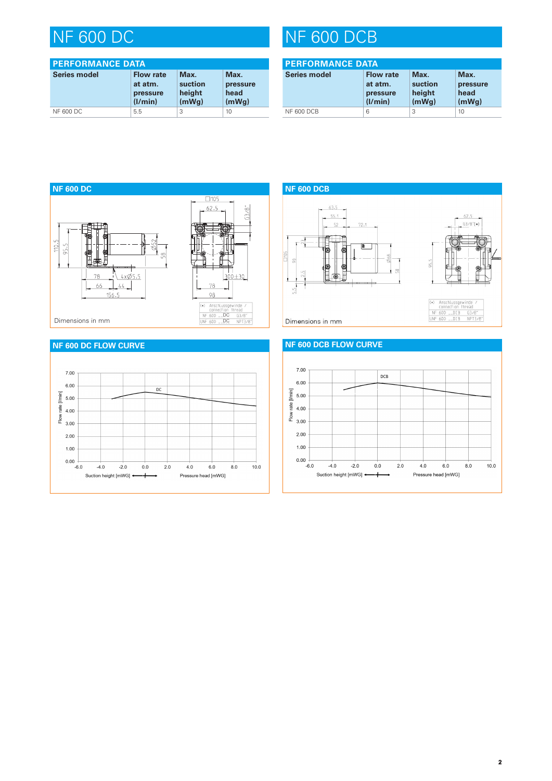| <b>PERFORMANCE DATA</b> |                                                    |                                    |                                   |
|-------------------------|----------------------------------------------------|------------------------------------|-----------------------------------|
| <b>Series model</b>     | <b>Flow rate</b><br>at atm.<br>pressure<br>(1/min) | Max.<br>suction<br>height<br>(mWq) | Max.<br>pressure<br>head<br>(mWq) |
| <b>NF 600 DC</b>        | 5.5                                                | 3                                  | 10                                |

# NF 600 DC NF 600 DCB

| <b>PERFORMANCE DATA</b> |                                                    |                                    |                                   |
|-------------------------|----------------------------------------------------|------------------------------------|-----------------------------------|
| <b>Series model</b>     | <b>Flow rate</b><br>at atm.<br>pressure<br>(1/min) | Max.<br>suction<br>height<br>(mWq) | Max.<br>pressure<br>head<br>(mWq) |
| <b>NF 600 DCB</b>       | 6                                                  | 3                                  | 10                                |





Dimensions in mm

### **NF 600 DCB FLOW CURVE**



### **NF 600 DC FLOW CURVE**